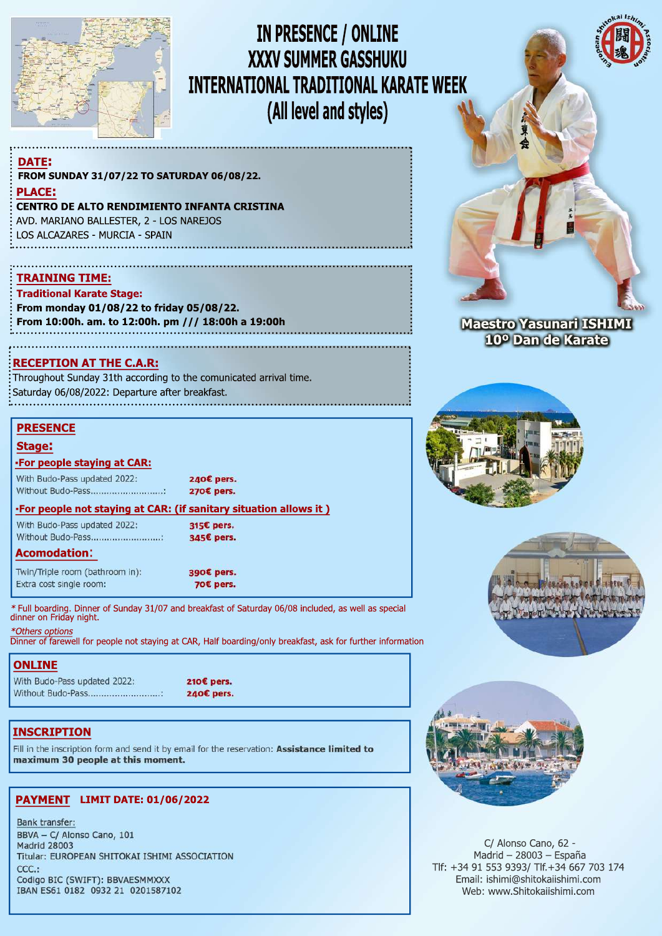

# IN PRESENCE / ONLINE **XXXV SUMMER GASSHUKU INTERNATIONAL TRADITIONAL KARATE WEEK** (All level and styles)

#### **DATE:** FROM SUNDAY 31/07/22 TO SATURDAY 06/08/22.

**PLACE:** 

#### **CENTRO DE ALTO RENDIMIENTO INFANTA CRISTINA**

AVD. MARIANO BALLESTER, 2 - LOS NAREJOS LOS ALCAZARES - MURCIA - SPAIN

### **TRAINING TIME:**

**Traditional Karate Stage:** 

From monday 01/08/22 to friday 05/08/22. From 10:00h. am. to 12:00h. pm /// 18:00h a 19:00h

#### **RECEPTION AT THE C.A.R:**

Throughout Sunday 31th according to the comunicated arrival time. Saturday 06/08/2022: Departure after breakfast.

#### **PRESENCE**

#### **Stage:**

#### -For people staying at CAR:

With Budo-Pass updated 2022: Without Budo-Pass.............................. 240€ pers. 270€ pers.

#### •For people not staying at CAR: (if sanitary situation allows it)

With Budo-Pass updated 2022; Without Budo-Pass............................ 315€ pers. 345€ pers.

#### **Acomodation:**

Twin/Triple room (bathroom in): Extra cost single room:

390€ pers. 70€ pers.

Full boarding. Dinner of Sunday 31/07 and breakfast of Saturday 06/08 included, as well as special dinner on Friday night.

\*Others options<br>Dinner of farewell for people not staying at CAR, Half boarding/only breakfast, ask for further information

## **ONLINE**

With Budo-Pass updated 2022: Without Budo-Pass............................

210€ pers. 240€ pers.

## **INSCRIPTION**

Fill in the inscription form and send it by email for the reservation: Assistance limited to maximum 30 people at this moment.

### PAYMENT LIMIT DATE: 01/06/2022

Bank transfer: BBVA - C/ Alonso Cano, 101 **Madrid 28003** Titular: EUROPEAN SHITOKAI ISHIMI ASSOCIATION CCC.: Codigo BIC (SWIFT): BBVAESMMXXX IBAN ES61 0182 0932 21 0201587102



# 10º Dan de Karate







C/ Alonso Cano, 62 -Madrid - 28003 - España Tlf: +34 91 553 9393/ Tlf.+34 667 703 174 Email: ishimi@shitokaiishimi.com Web: www.Shitokaiishimi.com